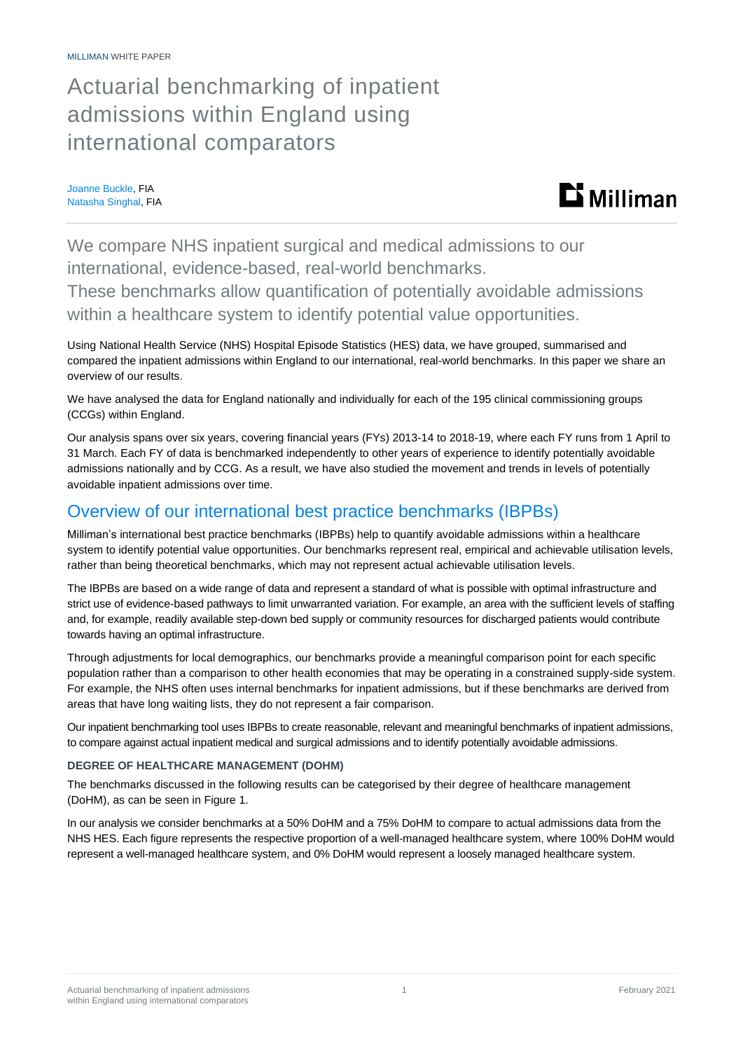MILLIMAN WHITE PAPER

# Actuarial benchmarking of inpatient admissions within England using international comparators

Joanne Buckle, FIA Natasha Singhal, FIA



We compare NHS inpatient surgical and medical admissions to our international, evidence-based, real-world benchmarks.

These benchmarks allow quantification of potentially avoidable admissions within a healthcare system to identify potential value opportunities.

Using National Health Service (NHS) Hospital Episode Statistics (HES) data, we have grouped, summarised and compared the inpatient admissions within England to our international, real-world benchmarks. In this paper we share an overview of our results.

We have analysed the data for England nationally and individually for each of the 195 clinical commissioning groups (CCGs) within England.

Our analysis spans over six years, covering financial years (FYs) 2013-14 to 2018-19, where each FY runs from 1 April to 31 March. Each FY of data is benchmarked independently to other years of experience to identify potentially avoidable admissions nationally and by CCG. As a result, we have also studied the movement and trends in levels of potentially avoidable inpatient admissions over time.

### Overview of our international best practice benchmarks (IBPBs)

Milliman's international best practice benchmarks (IBPBs) help to quantify avoidable admissions within a healthcare system to identify potential value opportunities. Our benchmarks represent real, empirical and achievable utilisation levels, rather than being theoretical benchmarks, which may not represent actual achievable utilisation levels.

The IBPBs are based on a wide range of data and represent a standard of what is possible with optimal infrastructure and strict use of evidence-based pathways to limit unwarranted variation. For example, an area with the sufficient levels of staffing and, for example, readily available step-down bed supply or community resources for discharged patients would contribute towards having an optimal infrastructure.

Through adjustments for local demographics, our benchmarks provide a meaningful comparison point for each specific population rather than a comparison to other health economies that may be operating in a constrained supply-side system. For example, the NHS often uses internal benchmarks for inpatient admissions, but if these benchmarks are derived from areas that have long waiting lists, they do not represent a fair comparison.

Our inpatient benchmarking tool uses IBPBs to create reasonable, relevant and meaningful benchmarks of inpatient admissions, to compare against actual inpatient medical and surgical admissions and to identify potentially avoidable admissions.

### **DEGREE OF HEALTHCARE MANAGEMENT (DOHM)**

The benchmarks discussed in the following results can be categorised by their degree of healthcare management (DoHM), as can be seen in Figure 1.

In our analysis we consider benchmarks at a 50% DoHM and a 75% DoHM to compare to actual admissions data from the NHS HES. Each figure represents the respective proportion of a well-managed healthcare system, where 100% DoHM would represent a well-managed healthcare system, and 0% DoHM would represent a loosely managed healthcare system.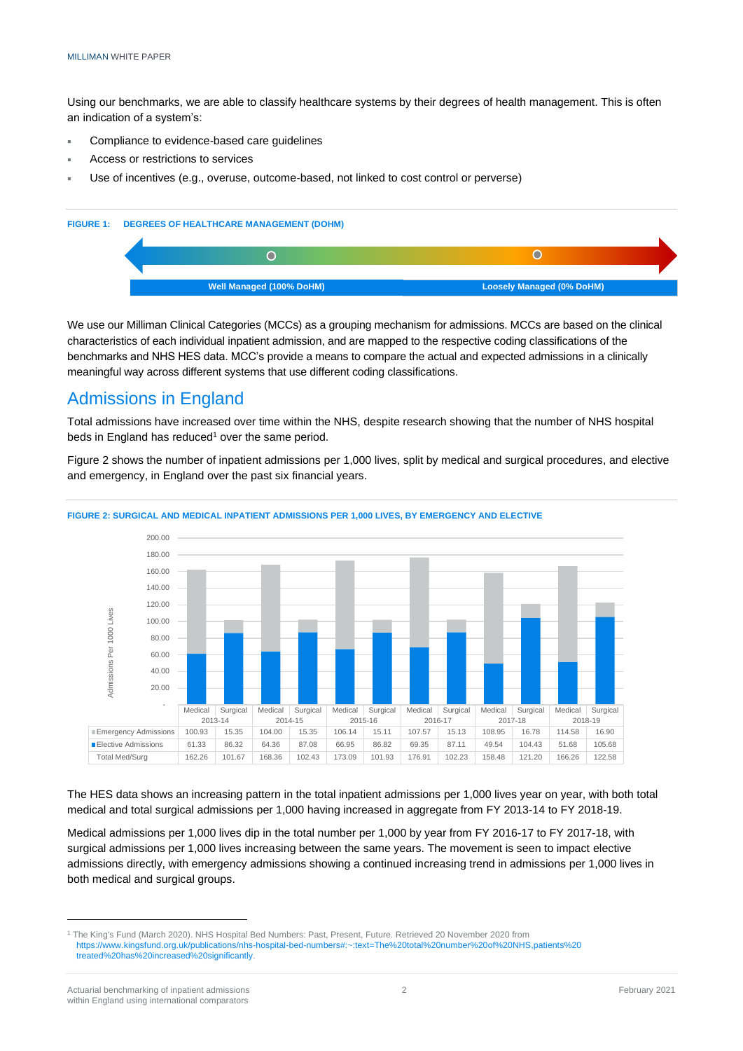Using our benchmarks, we are able to classify healthcare systems by their degrees of health management. This is often an indication of a system's:

- Compliance to evidence-based care guidelines
- Access or restrictions to services
- Use of incentives (e.g., overuse, outcome-based, not linked to cost control or perverse)



We use our Milliman Clinical Categories (MCCs) as a grouping mechanism for admissions. MCCs are based on the clinical characteristics of each individual inpatient admission, and are mapped to the respective coding classifications of the benchmarks and NHS HES data. MCC's provide a means to compare the actual and expected admissions in a clinically meaningful way across different systems that use different coding classifications.

### Admissions in England

Total admissions have increased over time within the NHS, despite research showing that the number of NHS hospital beds in England has reduced<sup>1</sup> over the same period.

Figure 2 shows the number of inpatient admissions per 1,000 lives, split by medical and surgical procedures, and elective and emergency, in England over the past six financial years.



#### **FIGURE 2: SURGICAL AND MEDICAL INPATIENT ADMISSIONS PER 1,000 LIVES, BY EMERGENCY AND ELECTIVE**

The HES data shows an increasing pattern in the total inpatient admissions per 1,000 lives year on year, with both total medical and total surgical admissions per 1,000 having increased in aggregate from FY 2013-14 to FY 2018-19.

Medical admissions per 1,000 lives dip in the total number per 1,000 by year from FY 2016-17 to FY 2017-18, with surgical admissions per 1,000 lives increasing between the same years. The movement is seen to impact elective admissions directly, with emergency admissions showing a continued increasing trend in admissions per 1,000 lives in both medical and surgical groups.

<sup>1</sup> The King's Fund (March 2020). NHS Hospital Bed Numbers: Past, Present, Future. Retrieved 20 November 2020 from [https://www.kingsfund.org.uk/publications/nhs-hospital-bed-numbers#:~:text=The%20total%20number%20of%20NHS,patients%20](https://www.kingsfund.org.uk/publications/nhs-hospital-bed-numbers#:~:text=The%20total%20number%20of%20NHS,patients%20treated%20has%20increased%20significantly) [treated%20has%20increased%20significantly.](https://www.kingsfund.org.uk/publications/nhs-hospital-bed-numbers#:~:text=The%20total%20number%20of%20NHS,patients%20treated%20has%20increased%20significantly)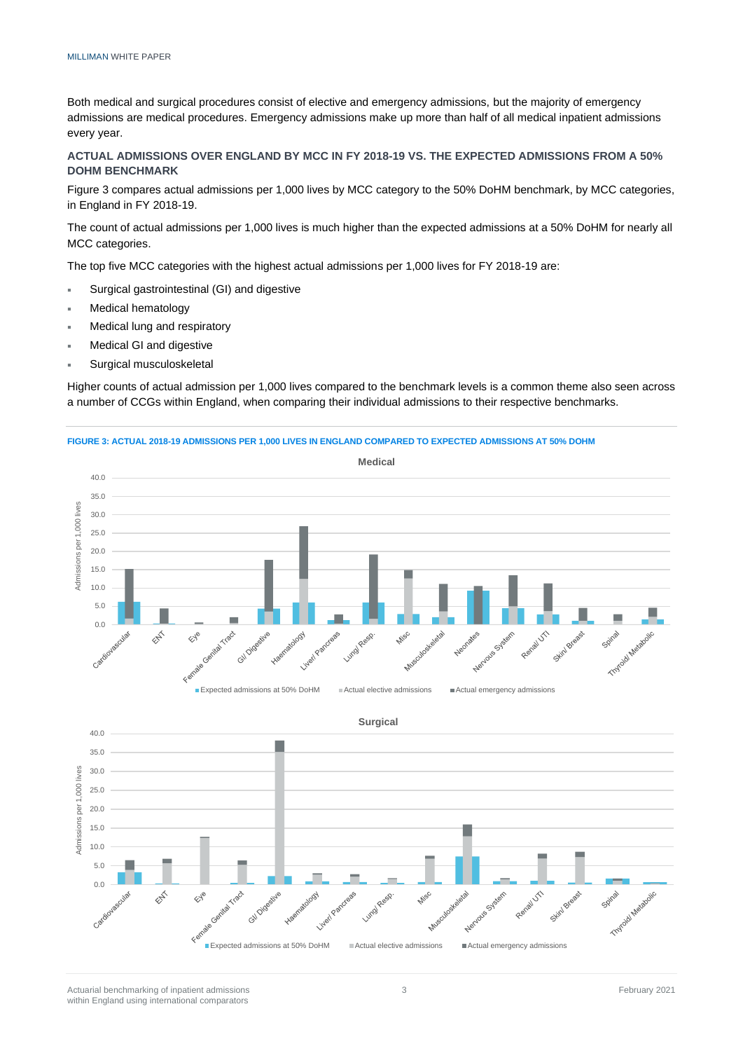Both medical and surgical procedures consist of elective and emergency admissions, but the majority of emergency admissions are medical procedures. Emergency admissions make up more than half of all medical inpatient admissions every year.

### **ACTUAL ADMISSIONS OVER ENGLAND BY MCC IN FY 2018-19 VS. THE EXPECTED ADMISSIONS FROM A 50% DOHM BENCHMARK**

Figure 3 compares actual admissions per 1,000 lives by MCC category to the 50% DoHM benchmark, by MCC categories, in England in FY 2018-19.

The count of actual admissions per 1,000 lives is much higher than the expected admissions at a 50% DoHM for nearly all MCC categories.

The top five MCC categories with the highest actual admissions per 1,000 lives for FY 2018-19 are:

- Surgical gastrointestinal (GI) and digestive
- Medical hematology
- Medical lung and respiratory
- Medical GI and digestive
- Surgical musculoskeletal

Higher counts of actual admission per 1,000 lives compared to the benchmark levels is a common theme also seen across a number of CCGs within England, when comparing their individual admissions to their respective benchmarks.

#### **FIGURE 3: ACTUAL 2018-19 ADMISSIONS PER 1,000 LIVES IN ENGLAND COMPARED TO EXPECTED ADMISSIONS AT 50% DOHM**



**Surgical** 40.0 35.0 lives Admissions per 1,000 lives 30.0  $000$ 25.0 Admissions per  $20.0$ 15.0 10.0 5.0  $0<sup>0</sup>$ Timfoidl Measons Remail UT! Gl/Oidestive  $\hat{\mathbb{Z}}$ **Wisc**  $\leftrightarrow^\circ$ System Skinl Bre o Genital **Unol**  $\mathcal{R}^{\delta}$ Expected admissions at 50% DoHM Actual elective admissions EActual emergency admissions

Actuarial benchmarking of inpatient admissions and the state of the state of the state of the state of the state of the state of the state of the state of the state of the state of the state of the state of the state of th within England using international comparators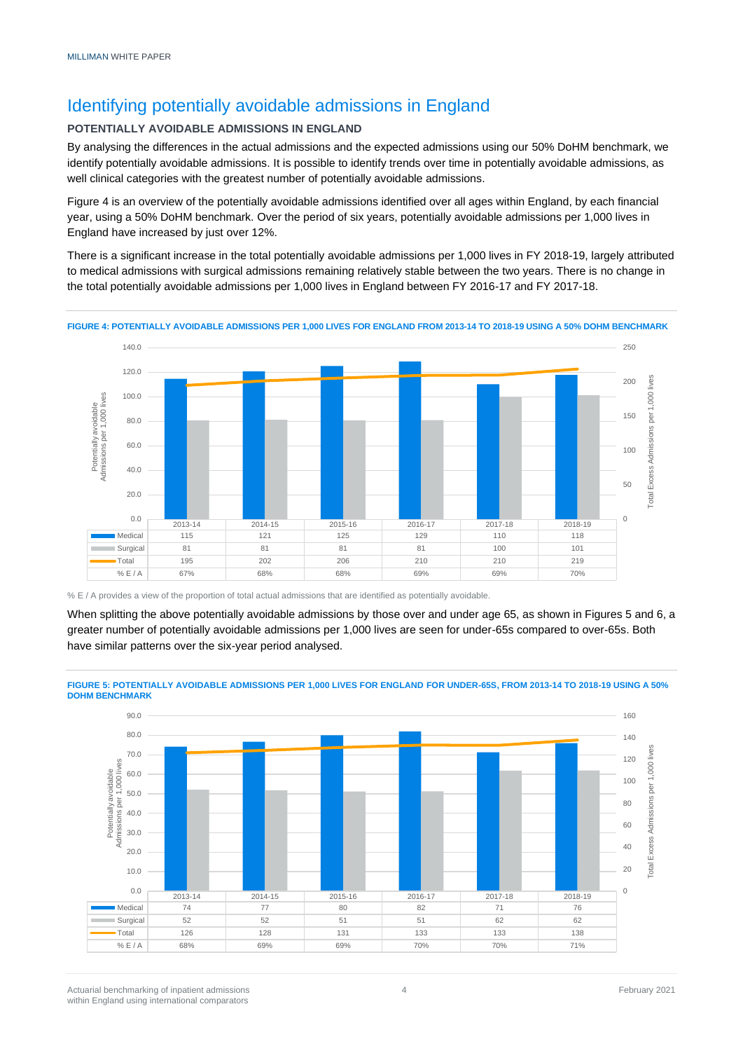# Identifying potentially avoidable admissions in England

### **POTENTIALLY AVOIDABLE ADMISSIONS IN ENGLAND**

By analysing the differences in the actual admissions and the expected admissions using our 50% DoHM benchmark, we identify potentially avoidable admissions. It is possible to identify trends over time in potentially avoidable admissions, as well clinical categories with the greatest number of potentially avoidable admissions.

Figure 4 is an overview of the potentially avoidable admissions identified over all ages within England, by each financial year, using a 50% DoHM benchmark. Over the period of six years, potentially avoidable admissions per 1,000 lives in England have increased by just over 12%.

There is a significant increase in the total potentially avoidable admissions per 1,000 lives in FY 2018-19, largely attributed to medical admissions with surgical admissions remaining relatively stable between the two years. There is no change in the total potentially avoidable admissions per 1,000 lives in England between FY 2016-17 and FY 2017-18.



**FIGURE 4: POTENTIALLY AVOIDABLE ADMISSIONS PER 1,000 LIVES FOR ENGLAND FROM 2013-14 TO 2018-19 USING A 50% DOHM BENCHMARK**

When splitting the above potentially avoidable admissions by those over and under age 65, as shown in Figures 5 and 6, a greater number of potentially avoidable admissions per 1,000 lives are seen for under-65s compared to over-65s. Both have similar patterns over the six-year period analysed.





Actuarial benchmarking of inpatient admissions and the state of the state of the state of the state of the state of the state of the state of the state of the state of the state of the state of the state of the state of th within England using international comparators

<sup>%</sup> E / A provides a view of the proportion of total actual admissions that are identified as potentially avoidable.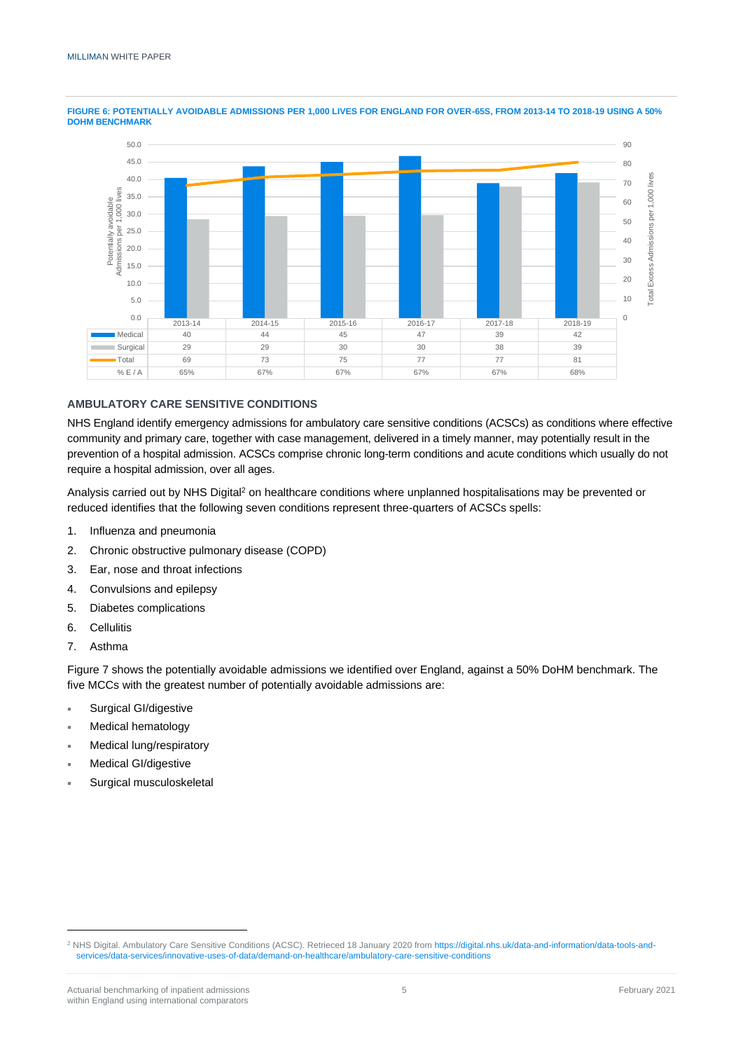

**FIGURE 6: POTENTIALLY AVOIDABLE ADMISSIONS PER 1,000 LIVES FOR ENGLAND FOR OVER-65S, FROM 2013-14 TO 2018-19 USING A 50% DOHM BENCHMARK**

### **AMBULATORY CARE SENSITIVE CONDITIONS**

NHS England identify emergency admissions for ambulatory care sensitive conditions (ACSCs) as conditions where effective community and primary care, together with case management, delivered in a timely manner, may potentially result in the prevention of a hospital admission. ACSCs comprise chronic long-term conditions and acute conditions which usually do not require a hospital admission, over all ages.

Analysis carried out by NHS Digital<sup>2</sup> on healthcare conditions where unplanned hospitalisations may be prevented or reduced identifies that the following seven conditions represent three-quarters of ACSCs spells:

- 1. Influenza and pneumonia
- 2. Chronic obstructive pulmonary disease (COPD)
- 3. Ear, nose and throat infections
- 4. Convulsions and epilepsy
- 5. Diabetes complications
- 6. Cellulitis
- 7. Asthma

Figure 7 shows the potentially avoidable admissions we identified over England, against a 50% DoHM benchmark. The five MCCs with the greatest number of potentially avoidable admissions are:

- Surgical GI/digestive
- Medical hematology
- Medical lung/respiratory
- Medical GI/digestive
- Surgical musculoskeletal

<sup>&</sup>lt;sup>2</sup> NHS Digital. Ambulatory Care Sensitive Conditions (ACSC). Retrieced 18 January 2020 fro[m https://digital.nhs.uk/data-and-information/data-tools-and](https://digital.nhs.uk/data-and-information/data-tools-and-services/data-services/innovative-uses-of-data/demand-on-healthcare/ambulatory-care-sensitive-conditions)[services/data-services/innovative-uses-of-data/demand-on-healthcare/ambulatory-care-sensitive-conditions](https://digital.nhs.uk/data-and-information/data-tools-and-services/data-services/innovative-uses-of-data/demand-on-healthcare/ambulatory-care-sensitive-conditions)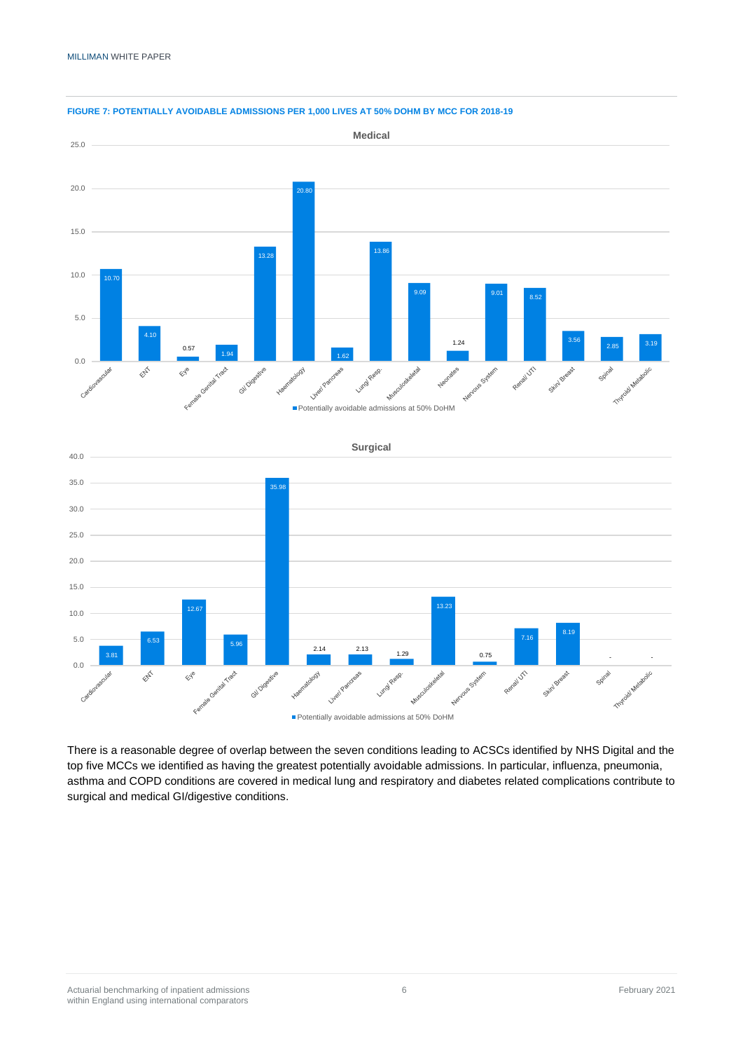

#### **FIGURE 7: POTENTIALLY AVOIDABLE ADMISSIONS PER 1,000 LIVES AT 50% DOHM BY MCC FOR 2018-19**

There is a reasonable degree of overlap between the seven conditions leading to ACSCs identified by NHS Digital and the top five MCCs we identified as having the greatest potentially avoidable admissions. In particular, influenza, pneumonia, asthma and COPD conditions are covered in medical lung and respiratory and diabetes related complications contribute to surgical and medical GI/digestive conditions.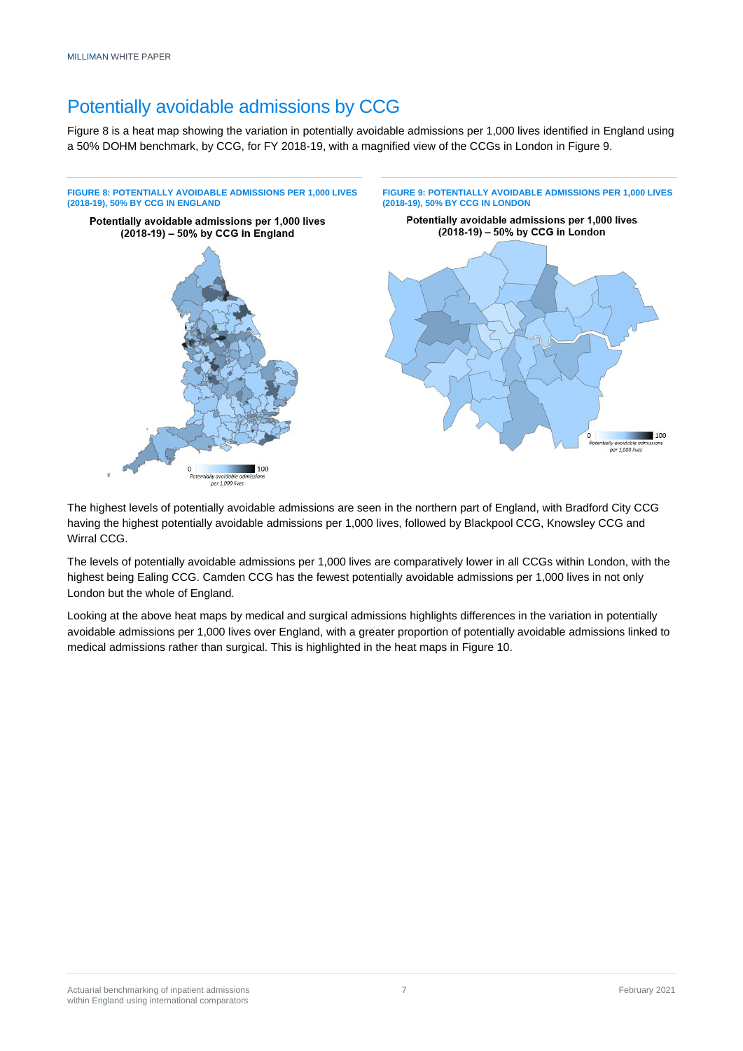# Potentially avoidable admissions by CCG

Figure 8 is a heat map showing the variation in potentially avoidable admissions per 1,000 lives identified in England using a 50% DOHM benchmark, by CCG, for FY 2018-19, with a magnified view of the CCGs in London in Figure 9.



The highest levels of potentially avoidable admissions are seen in the northern part of England, with Bradford City CCG having the highest potentially avoidable admissions per 1,000 lives, followed by Blackpool CCG, Knowsley CCG and Wirral CCG.

The levels of potentially avoidable admissions per 1,000 lives are comparatively lower in all CCGs within London, with the highest being Ealing CCG. Camden CCG has the fewest potentially avoidable admissions per 1,000 lives in not only London but the whole of England.

Looking at the above heat maps by medical and surgical admissions highlights differences in the variation in potentially avoidable admissions per 1,000 lives over England, with a greater proportion of potentially avoidable admissions linked to medical admissions rather than surgical. This is highlighted in the heat maps in Figure 10.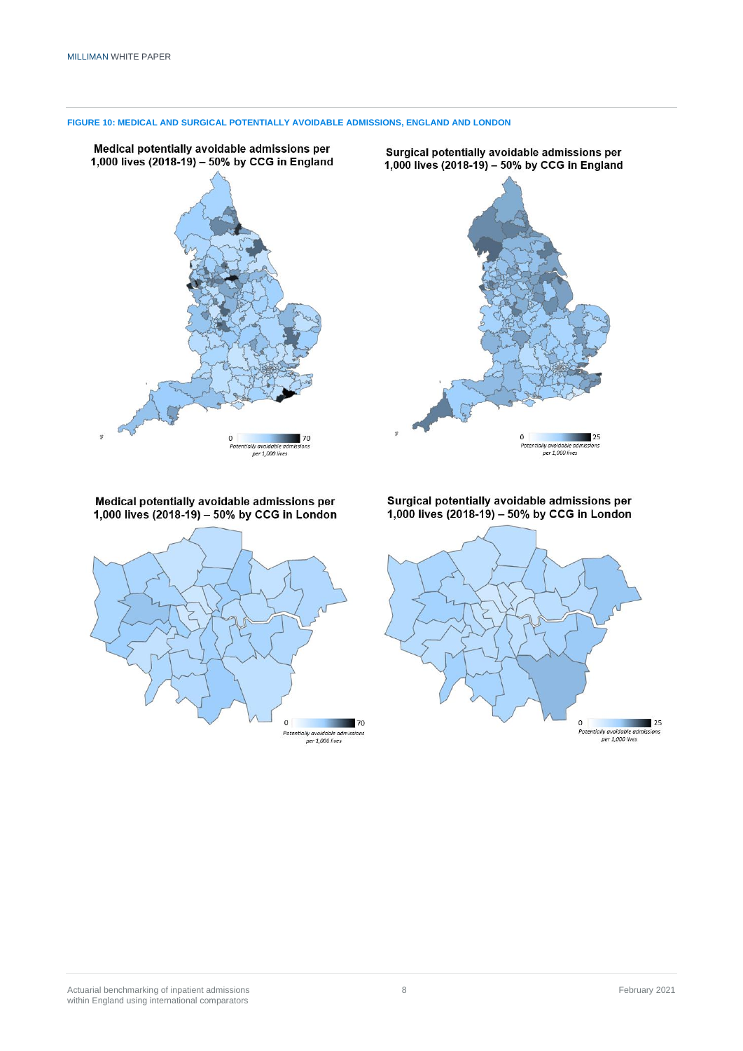

**FIGURE 10: MEDICAL AND SURGICAL POTENTIALLY AVOIDABLE ADMISSIONS, ENGLAND AND LONDON**

Medical potentially avoidable admissions per 1,000 lives  $(2018-19) - 50%$  by CCG in London



Surgical potentially avoidable admissions per 1,000 lives  $(2018-19) - 50%$  by CCG in London

 $\blacksquare$  25

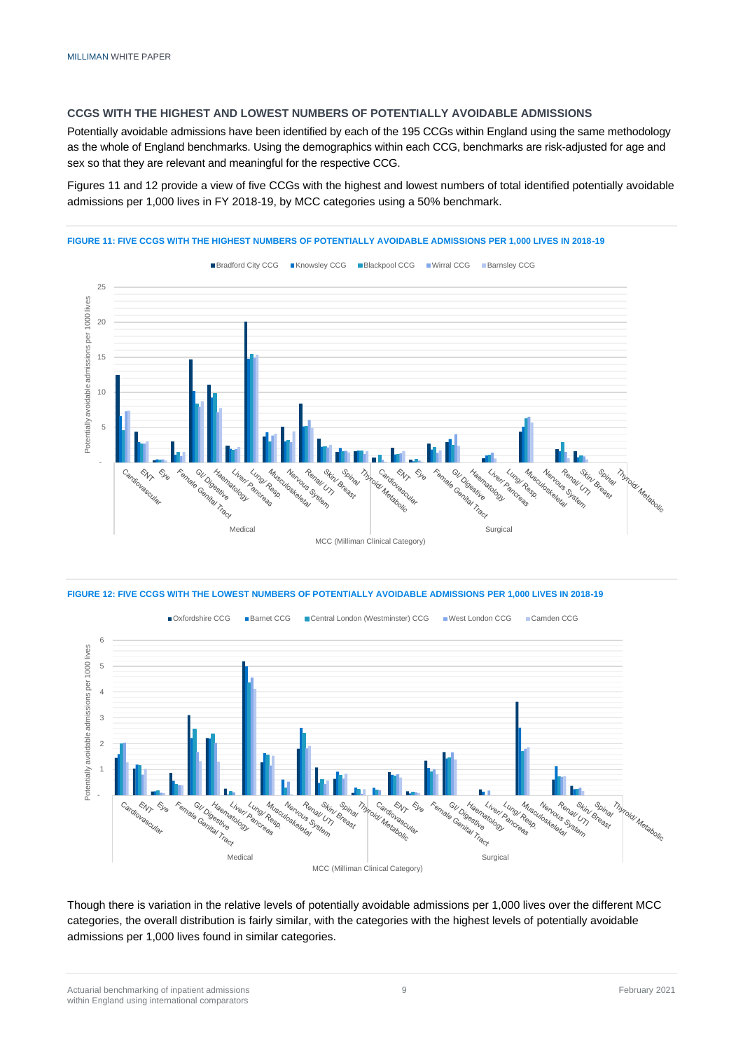#### **CCGS WITH THE HIGHEST AND LOWEST NUMBERS OF POTENTIALLY AVOIDABLE ADMISSIONS**

Potentially avoidable admissions have been identified by each of the 195 CCGs within England using the same methodology as the whole of England benchmarks. Using the demographics within each CCG, benchmarks are risk-adjusted for age and sex so that they are relevant and meaningful for the respective CCG.

Figures 11 and 12 provide a view of five CCGs with the highest and lowest numbers of total identified potentially avoidable admissions per 1,000 lives in FY 2018-19, by MCC categories using a 50% benchmark.



#### **FIGURE 11: FIVE CCGS WITH THE HIGHEST NUMBERS OF POTENTIALLY AVOIDABLE ADMISSIONS PER 1,000 LIVES IN 2018-19**





Though there is variation in the relative levels of potentially avoidable admissions per 1,000 lives over the different MCC categories, the overall distribution is fairly similar, with the categories with the highest levels of potentially avoidable admissions per 1,000 lives found in similar categories.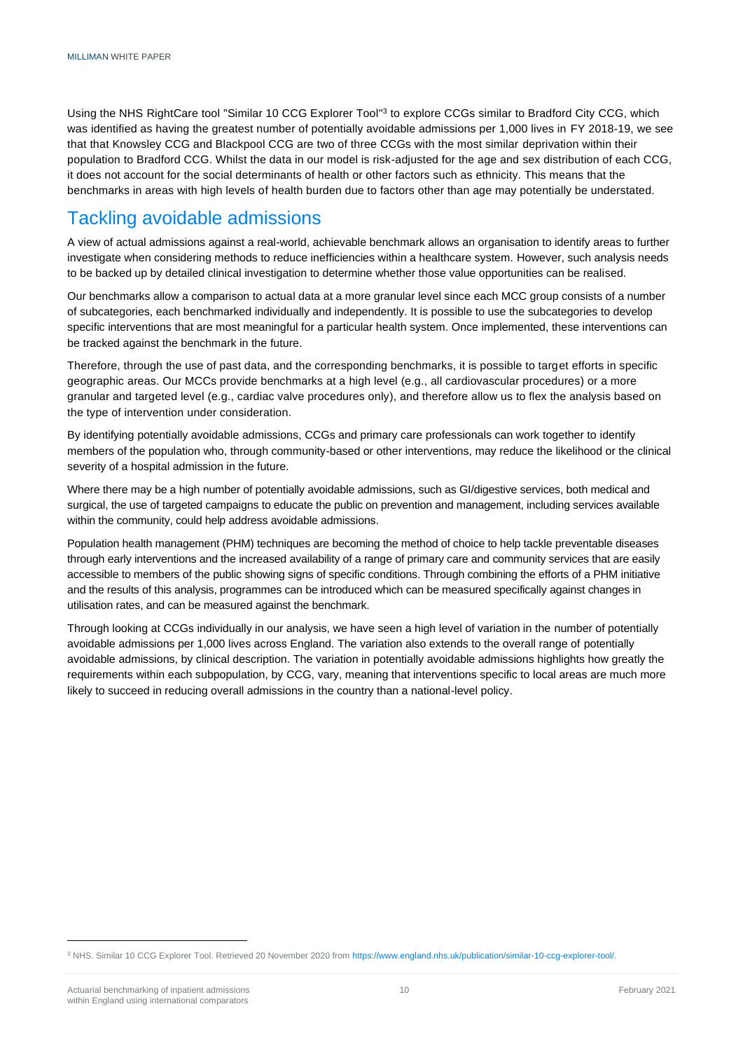Using the NHS RightCare tool "Similar 10 CCG Explorer Tool"<sup>3</sup> to explore CCGs similar to Bradford City CCG, which was identified as having the greatest number of potentially avoidable admissions per 1,000 lives in FY 2018-19, we see that that Knowsley CCG and Blackpool CCG are two of three CCGs with the most similar deprivation within their population to Bradford CCG. Whilst the data in our model is risk-adjusted for the age and sex distribution of each CCG, it does not account for the social determinants of health or other factors such as ethnicity. This means that the benchmarks in areas with high levels of health burden due to factors other than age may potentially be understated.

# Tackling avoidable admissions

A view of actual admissions against a real-world, achievable benchmark allows an organisation to identify areas to further investigate when considering methods to reduce inefficiencies within a healthcare system. However, such analysis needs to be backed up by detailed clinical investigation to determine whether those value opportunities can be realised.

Our benchmarks allow a comparison to actual data at a more granular level since each MCC group consists of a number of subcategories, each benchmarked individually and independently. It is possible to use the subcategories to develop specific interventions that are most meaningful for a particular health system. Once implemented, these interventions can be tracked against the benchmark in the future.

Therefore, through the use of past data, and the corresponding benchmarks, it is possible to target efforts in specific geographic areas. Our MCCs provide benchmarks at a high level (e.g., all cardiovascular procedures) or a more granular and targeted level (e.g., cardiac valve procedures only), and therefore allow us to flex the analysis based on the type of intervention under consideration.

By identifying potentially avoidable admissions, CCGs and primary care professionals can work together to identify members of the population who, through community-based or other interventions, may reduce the likelihood or the clinical severity of a hospital admission in the future.

Where there may be a high number of potentially avoidable admissions, such as GI/digestive services, both medical and surgical, the use of targeted campaigns to educate the public on prevention and management, including services available within the community, could help address avoidable admissions.

Population health management (PHM) techniques are becoming the method of choice to help tackle preventable diseases through early interventions and the increased availability of a range of primary care and community services that are easily accessible to members of the public showing signs of specific conditions. Through combining the efforts of a PHM initiative and the results of this analysis, programmes can be introduced which can be measured specifically against changes in utilisation rates, and can be measured against the benchmark.

Through looking at CCGs individually in our analysis, we have seen a high level of variation in the number of potentially avoidable admissions per 1,000 lives across England. The variation also extends to the overall range of potentially avoidable admissions, by clinical description. The variation in potentially avoidable admissions highlights how greatly the requirements within each subpopulation, by CCG, vary, meaning that interventions specific to local areas are much more likely to succeed in reducing overall admissions in the country than a national-level policy.

<sup>3</sup> NHS. Similar 10 CCG Explorer Tool. Retrieved 20 November 2020 fro[m https://www.england.nhs.uk/publication/similar-10-ccg-explorer-tool/.](https://www.england.nhs.uk/publication/similar-10-ccg-explorer-tool/)